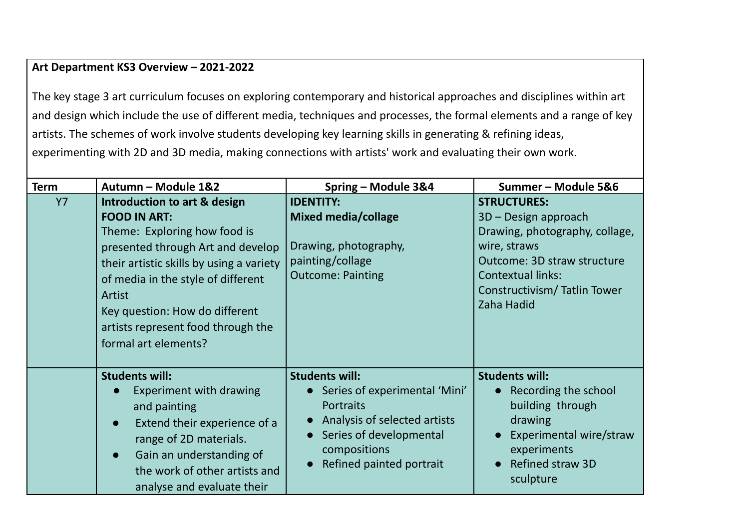## **Art Department KS3 Overview – 2021-2022**

The key stage 3 art curriculum focuses on exploring contemporary and historical approaches and disciplines within art and design which include the use of different media, techniques and processes, the formal elements and a range of key artists. The schemes of work involve students developing key learning skills in generating & refining ideas, experimenting with 2D and 3D media, making connections with artists' work and evaluating their own work.

| <b>Term</b> | Autumn - Module 1&2                                                                                                                                                                                                                                                                                                  | Spring - Module 3&4                                                                                                                                                               | Summer-Module 5&6                                                                                                                                                                                    |
|-------------|----------------------------------------------------------------------------------------------------------------------------------------------------------------------------------------------------------------------------------------------------------------------------------------------------------------------|-----------------------------------------------------------------------------------------------------------------------------------------------------------------------------------|------------------------------------------------------------------------------------------------------------------------------------------------------------------------------------------------------|
| <b>Y7</b>   | Introduction to art & design<br><b>FOOD IN ART:</b><br>Theme: Exploring how food is<br>presented through Art and develop<br>their artistic skills by using a variety<br>of media in the style of different<br>Artist<br>Key question: How do different<br>artists represent food through the<br>formal art elements? | <b>IDENTITY:</b><br><b>Mixed media/collage</b><br>Drawing, photography,<br>painting/collage<br><b>Outcome: Painting</b>                                                           | <b>STRUCTURES:</b><br>3D – Design approach<br>Drawing, photography, collage,<br>wire, straws<br>Outcome: 3D straw structure<br><b>Contextual links:</b><br>Constructivism/Tatlin Tower<br>Zaha Hadid |
|             | <b>Students will:</b><br>Experiment with drawing<br>and painting<br>Extend their experience of a<br>$\bullet$<br>range of 2D materials.<br>Gain an understanding of<br>$\bullet$<br>the work of other artists and<br>analyse and evaluate their                                                                      | <b>Students will:</b><br>Series of experimental 'Mini'<br><b>Portraits</b><br>Analysis of selected artists<br>Series of developmental<br>compositions<br>Refined painted portrait | <b>Students will:</b><br>Recording the school<br>building through<br>drawing<br>Experimental wire/straw<br>experiments<br><b>Refined straw 3D</b><br>sculpture                                       |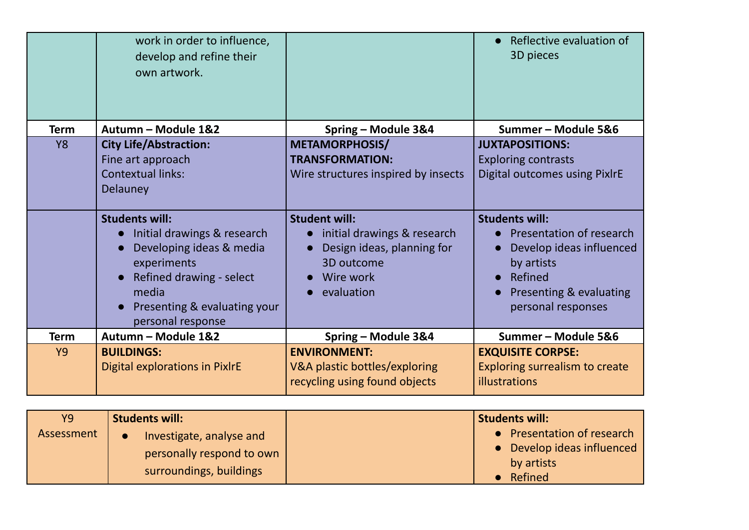|             | work in order to influence,<br>develop and refine their<br>own artwork.                                                                                                                                |                                                                                                                                         | Reflective evaluation of<br>3D pieces                                                                                                                   |
|-------------|--------------------------------------------------------------------------------------------------------------------------------------------------------------------------------------------------------|-----------------------------------------------------------------------------------------------------------------------------------------|---------------------------------------------------------------------------------------------------------------------------------------------------------|
| <b>Term</b> | Autumn - Module 1&2                                                                                                                                                                                    | Spring - Module 3&4                                                                                                                     | Summer - Module 5&6                                                                                                                                     |
| <b>Y8</b>   | <b>City Life/Abstraction:</b>                                                                                                                                                                          | <b>METAMORPHOSIS/</b>                                                                                                                   | <b>JUXTAPOSITIONS:</b>                                                                                                                                  |
|             | Fine art approach                                                                                                                                                                                      | <b>TRANSFORMATION:</b>                                                                                                                  | <b>Exploring contrasts</b>                                                                                                                              |
|             | <b>Contextual links:</b>                                                                                                                                                                               | Wire structures inspired by insects                                                                                                     | Digital outcomes using PixlrE                                                                                                                           |
|             | Delauney                                                                                                                                                                                               |                                                                                                                                         |                                                                                                                                                         |
|             | <b>Students will:</b><br>Initial drawings & research<br>$\bullet$<br>Developing ideas & media<br>experiments<br>Refined drawing - select<br>media<br>Presenting & evaluating your<br>personal response | <b>Student will:</b><br>initial drawings & research<br>$\bullet$<br>Design ideas, planning for<br>3D outcome<br>Wire work<br>evaluation | <b>Students will:</b><br>Presentation of research<br>Develop ideas influenced<br>by artists<br>Refined<br>Presenting & evaluating<br>personal responses |
| <b>Term</b> | Autumn - Module 1&2                                                                                                                                                                                    | Spring - Module 3&4                                                                                                                     | Summer-Module 5&6                                                                                                                                       |
| <b>Y9</b>   | <b>BUILDINGS:</b><br>Digital explorations in PixlrE                                                                                                                                                    | <b>ENVIRONMENT:</b><br>V&A plastic bottles/exploring                                                                                    | <b>EXQUISITE CORPSE:</b><br><b>Exploring surrealism to create</b>                                                                                       |
|             |                                                                                                                                                                                                        | recycling using found objects                                                                                                           | illustrations                                                                                                                                           |

| <b>Y9</b>  | <b>Students will:</b>                                                            | <b>Students will:</b>                                                             |
|------------|----------------------------------------------------------------------------------|-----------------------------------------------------------------------------------|
| Assessment | Investigate, analyse and<br>personally respond to own<br>surroundings, buildings | • Presentation of research<br>• Develop ideas influenced<br>by artists<br>Refined |